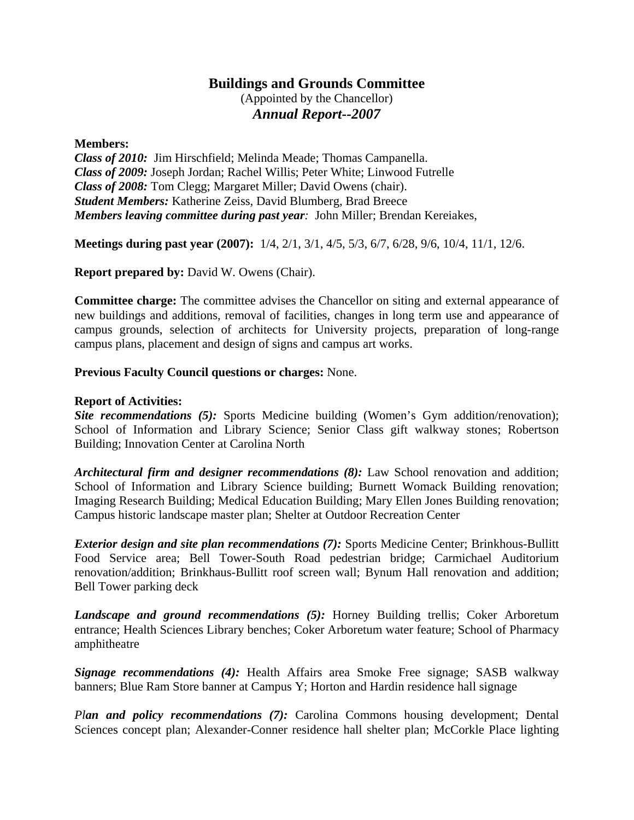## **Buildings and Grounds Committee**

(Appointed by the Chancellor) *Annual Report--2007*

## **Members:**

*Class of 2010:* Jim Hirschfield; Melinda Meade; Thomas Campanella. *Class of 2009:* Joseph Jordan; Rachel Willis; Peter White; Linwood Futrelle *Class of 2008:* Tom Clegg; Margaret Miller; David Owens (chair). *Student Members:* Katherine Zeiss, David Blumberg, Brad Breece *Members leaving committee during past year:* John Miller; Brendan Kereiakes,

**Meetings during past year (2007):** 1/4, 2/1, 3/1, 4/5, 5/3, 6/7, 6/28, 9/6, 10/4, 11/1, 12/6.

**Report prepared by:** David W. Owens (Chair).

**Committee charge:** The committee advises the Chancellor on siting and external appearance of new buildings and additions, removal of facilities, changes in long term use and appearance of campus grounds, selection of architects for University projects, preparation of long-range campus plans, placement and design of signs and campus art works.

## **Previous Faculty Council questions or charges:** None.

## **Report of Activities:**

*Site recommendations* (5): Sports Medicine building (Women's Gym addition/renovation); School of Information and Library Science; Senior Class gift walkway stones; Robertson Building; Innovation Center at Carolina North

*Architectural firm and designer recommendations (8):* Law School renovation and addition; School of Information and Library Science building; Burnett Womack Building renovation; Imaging Research Building; Medical Education Building; Mary Ellen Jones Building renovation; Campus historic landscape master plan; Shelter at Outdoor Recreation Center

*Exterior design and site plan recommendations (7):* Sports Medicine Center; Brinkhous-Bullitt Food Service area; Bell Tower-South Road pedestrian bridge; Carmichael Auditorium renovation/addition; Brinkhaus-Bullitt roof screen wall; Bynum Hall renovation and addition; Bell Tower parking deck

*Landscape and ground recommendations (5):* Horney Building trellis; Coker Arboretum entrance; Health Sciences Library benches; Coker Arboretum water feature; School of Pharmacy amphitheatre

*Signage recommendations (4):* Health Affairs area Smoke Free signage; SASB walkway banners; Blue Ram Store banner at Campus Y; Horton and Hardin residence hall signage

*Plan and policy recommendations (7):* Carolina Commons housing development; Dental Sciences concept plan; Alexander-Conner residence hall shelter plan; McCorkle Place lighting